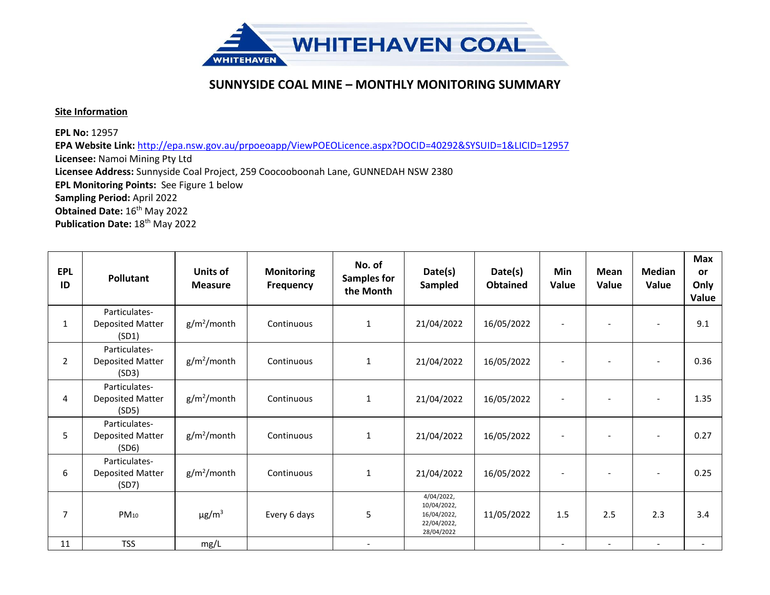

## **SUNNYSIDE COAL MINE – MONTHLY MONITORING SUMMARY**

## **Site Information**

**EPL No:** 12957

**EPA Website Link:** <http://epa.nsw.gov.au/prpoeoapp/ViewPOEOLicence.aspx?DOCID=40292&SYSUID=1&LICID=12957> **Licensee:** Namoi Mining Pty Ltd **Licensee Address:** Sunnyside Coal Project, 259 Coocooboonah Lane, GUNNEDAH NSW 2380 **EPL Monitoring Points:** See Figure 1 below **Sampling Period:** April 2022 **Obtained Date:** 16<sup>th</sup> May 2022 Publication Date: 18<sup>th</sup> May 2022

| <b>EPL</b><br>ID | <b>Pollutant</b>                                  | <b>Units of</b><br><b>Measure</b> | <b>Monitoring</b><br><b>Frequency</b> | No. of<br><b>Samples for</b><br>the Month | Date(s)<br>Sampled                                                    | Date(s)<br><b>Obtained</b> | Min<br>Value             | Mean<br>Value | <b>Median</b><br>Value   | <b>Max</b><br><b>or</b><br>Only<br>Value |
|------------------|---------------------------------------------------|-----------------------------------|---------------------------------------|-------------------------------------------|-----------------------------------------------------------------------|----------------------------|--------------------------|---------------|--------------------------|------------------------------------------|
| $\mathbf{1}$     | Particulates-<br><b>Deposited Matter</b><br>(SD1) | $g/m^2$ /month                    | Continuous                            | $\mathbf{1}$                              | 21/04/2022                                                            | 16/05/2022                 |                          |               | $\overline{\phantom{a}}$ | 9.1                                      |
| $\overline{2}$   | Particulates-<br><b>Deposited Matter</b><br>(SD3) | $g/m^2$ /month                    | Continuous                            | $\mathbf{1}$                              | 21/04/2022                                                            | 16/05/2022                 |                          |               |                          | 0.36                                     |
| $\overline{4}$   | Particulates-<br><b>Deposited Matter</b><br>(SD5) | $g/m^2$ /month                    | Continuous                            | $\mathbf{1}$                              | 21/04/2022                                                            | 16/05/2022                 |                          |               |                          | 1.35                                     |
| 5                | Particulates-<br><b>Deposited Matter</b><br>(SD6) | $g/m^2$ /month                    | Continuous                            | $\mathbf{1}$                              | 21/04/2022                                                            | 16/05/2022                 | $\overline{\phantom{a}}$ |               | $\overline{\phantom{a}}$ | 0.27                                     |
| 6                | Particulates-<br><b>Deposited Matter</b><br>(SD7) | $g/m^2$ /month                    | Continuous                            | $\mathbf{1}$                              | 21/04/2022                                                            | 16/05/2022                 |                          |               | $\overline{\phantom{a}}$ | 0.25                                     |
| $\overline{7}$   | $PM_{10}$                                         | $\mu$ g/m <sup>3</sup>            | Every 6 days                          | 5                                         | 4/04/2022,<br>10/04/2022,<br>16/04/2022,<br>22/04/2022,<br>28/04/2022 | 11/05/2022                 | 1.5                      | 2.5           | 2.3                      | 3.4                                      |
| 11               | <b>TSS</b>                                        | mg/L                              |                                       |                                           |                                                                       |                            |                          |               |                          |                                          |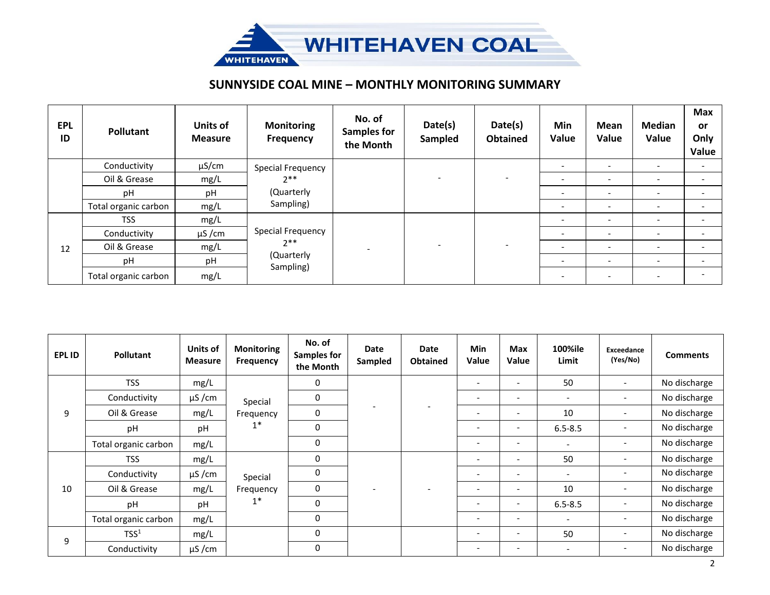

## **SUNNYSIDE COAL MINE – MONTHLY MONITORING SUMMARY**

| <b>EPL</b><br>ID | <b>Pollutant</b>     | Units of<br><b>Measure</b> | <b>Monitoring</b><br><b>Frequency</b>                 | No. of<br><b>Samples for</b><br>the Month | Date(s)<br>Sampled       | Date(s)<br><b>Obtained</b> | Min<br>Value             | Mean<br>Value            | Median<br>Value          | <b>Max</b><br><b>or</b><br>Only<br>Value |
|------------------|----------------------|----------------------------|-------------------------------------------------------|-------------------------------------------|--------------------------|----------------------------|--------------------------|--------------------------|--------------------------|------------------------------------------|
|                  | Conductivity         | $\mu$ S/cm                 | Special Frequency                                     |                                           |                          | -                          |                          | $\overline{\phantom{a}}$ | $\overline{\phantom{a}}$ |                                          |
|                  | Oil & Grease         | mg/L                       | $2***$<br>(Quarterly                                  |                                           |                          |                            |                          | -                        |                          |                                          |
|                  | рH                   | pH                         |                                                       |                                           |                          |                            | $\overline{\phantom{a}}$ | $\overline{\phantom{a}}$ | $\overline{\phantom{a}}$ |                                          |
|                  | Total organic carbon | mg/L                       | Sampling)                                             |                                           |                          |                            |                          |                          |                          |                                          |
| 12               | <b>TSS</b>           | mg/L                       |                                                       |                                           | $\overline{\phantom{0}}$ |                            | $\overline{\phantom{a}}$ | $\overline{\phantom{a}}$ | $\overline{\phantom{0}}$ |                                          |
|                  | Conductivity         | $\mu$ S/cm                 | Special Frequency<br>$2**$<br>(Quarterly<br>Sampling) |                                           |                          |                            | $\overline{\phantom{a}}$ | $\overline{\phantom{a}}$ | $\overline{\phantom{a}}$ |                                          |
|                  | Oil & Grease         | mg/L                       |                                                       |                                           |                          |                            |                          | $\overline{\phantom{a}}$ | $\overline{\phantom{a}}$ |                                          |
|                  | pH                   | pH                         |                                                       |                                           |                          |                            | $\overline{\phantom{a}}$ | $\overline{\phantom{a}}$ | $\overline{\phantom{a}}$ |                                          |
|                  | Total organic carbon | mg/L                       |                                                       |                                           |                          |                            | $\overline{\phantom{a}}$ | $\overline{\phantom{a}}$ | $\overline{\phantom{a}}$ |                                          |

| EPL ID | Pollutant            | Units of<br><b>Measure</b> | <b>Monitoring</b><br>Frequency | No. of<br><b>Samples for</b><br>the Month | Date<br>Sampled | Date<br><b>Obtained</b> | <b>Min</b><br>Value      | <b>Max</b><br><b>Value</b> | 100%ile<br>Limit         | <b>Exceedance</b><br>(Yes/No) | <b>Comments</b> |
|--------|----------------------|----------------------------|--------------------------------|-------------------------------------------|-----------------|-------------------------|--------------------------|----------------------------|--------------------------|-------------------------------|-----------------|
| 9      | <b>TSS</b>           | mg/L                       | Special<br>Frequency<br>$1^*$  | 0                                         |                 |                         | $\overline{\phantom{a}}$ | $\overline{\phantom{a}}$   | 50                       | $\overline{\phantom{0}}$      | No discharge    |
|        | Conductivity         | $\mu$ S/cm                 |                                | 0                                         |                 |                         | $\overline{\phantom{a}}$ | $\overline{\phantom{a}}$   | $\overline{\phantom{a}}$ | -                             | No discharge    |
|        | Oil & Grease         | mg/L                       |                                | $\Omega$                                  |                 |                         | $\overline{\phantom{a}}$ | $\overline{\phantom{a}}$   | 10                       | -                             | No discharge    |
|        | рH                   | pH                         |                                | 0                                         |                 |                         |                          | $\overline{\phantom{a}}$   | $6.5 - 8.5$              |                               | No discharge    |
|        | Total organic carbon | mg/L                       |                                | $\Omega$                                  |                 |                         |                          | $\overline{\phantom{a}}$   |                          |                               | No discharge    |
|        | <b>TSS</b>           | mg/L                       | Special<br>Frequency<br>$1^*$  | $\Omega$                                  |                 |                         |                          | $\overline{\phantom{a}}$   | 50                       |                               | No discharge    |
|        | Conductivity         | $\mu$ S/cm                 |                                | $\Omega$                                  |                 |                         |                          | $\overline{\phantom{a}}$   |                          |                               | No discharge    |
| 10     | Oil & Grease         | mg/L                       |                                | $\Omega$                                  |                 |                         | $\overline{\phantom{a}}$ | $\overline{\phantom{a}}$   | 10                       |                               | No discharge    |
|        | pH                   | pH                         |                                | $\Omega$                                  |                 |                         | $\overline{\phantom{0}}$ | $\overline{\phantom{a}}$   | $6.5 - 8.5$              | $\qquad \qquad \blacksquare$  | No discharge    |
|        | Total organic carbon | mg/L                       |                                | $\Omega$                                  |                 |                         | $\overline{\phantom{a}}$ | $\overline{\phantom{a}}$   | $\overline{\phantom{a}}$ |                               | No discharge    |
| 9      | TSS <sup>1</sup>     | mg/L                       |                                | 0                                         |                 |                         |                          | $\overline{\phantom{a}}$   | 50                       | $\qquad \qquad \blacksquare$  | No discharge    |
|        | Conductivity         | $\mu$ S/cm                 |                                | 0                                         |                 |                         | $\overline{\phantom{a}}$ | $\overline{\phantom{a}}$   | $\overline{\phantom{a}}$ |                               | No discharge    |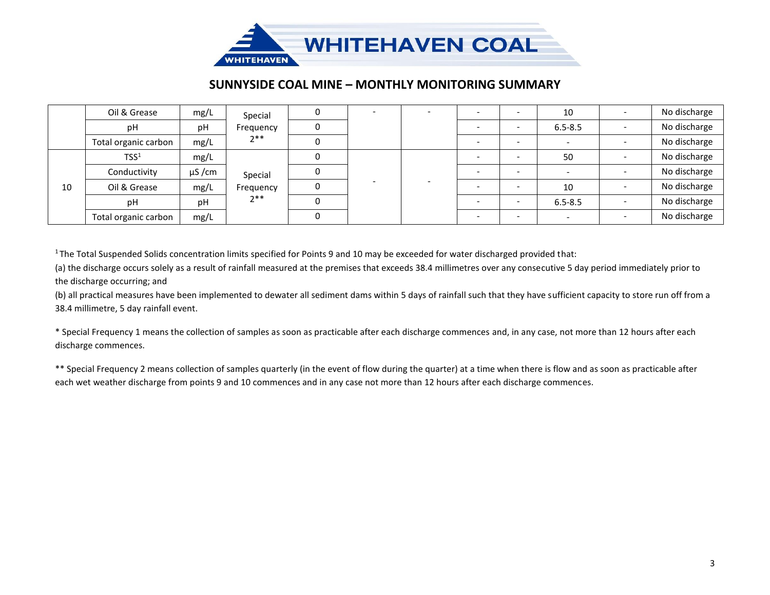

## **SUNNYSIDE COAL MINE – MONTHLY MONITORING SUMMARY**

|    | Oil & Grease         | mg/L       | Special                       |  |  |  |                          | 10          | No discharge |
|----|----------------------|------------|-------------------------------|--|--|--|--------------------------|-------------|--------------|
|    | pH                   | pH         | Frequency                     |  |  |  | $\overline{\phantom{0}}$ | $6.5 - 8.5$ | No discharge |
|    | Total organic carbon | mg/L       | $2**$                         |  |  |  | $\overline{\phantom{0}}$ |             | No discharge |
| 10 | TSS <sup>1</sup>     | mg/L       | Special<br>Frequency<br>$2**$ |  |  |  | $\overline{\phantom{0}}$ | 50          | No discharge |
|    | Conductivity         | $\mu$ S/cm |                               |  |  |  | $\overline{\phantom{a}}$ |             | No discharge |
|    | Oil & Grease         | mg/L       |                               |  |  |  | $\overline{\phantom{0}}$ | 10          | No discharge |
|    | pH                   | рH         |                               |  |  |  | $\overline{\phantom{a}}$ | $6.5 - 8.5$ | No discharge |
|    | Total organic carbon | mg/L       |                               |  |  |  | $\overline{\phantom{0}}$ |             | No discharge |

 $1$ The Total Suspended Solids concentration limits specified for Points 9 and 10 may be exceeded for water discharged provided that:

(a) the discharge occurs solely as a result of rainfall measured at the premises that exceeds 38.4 millimetres over any consecutive 5 day period immediately prior to the discharge occurring; and

(b) all practical measures have been implemented to dewater all sediment dams within 5 days of rainfall such that they have sufficient capacity to store run off from a 38.4 millimetre, 5 day rainfall event.

\* Special Frequency 1 means the collection of samples as soon as practicable after each discharge commences and, in any case, not more than 12 hours after each discharge commences.

\*\* Special Frequency 2 means collection of samples quarterly (in the event of flow during the quarter) at a time when there is flow and as soon as practicable after each wet weather discharge from points 9 and 10 commences and in any case not more than 12 hours after each discharge commences.